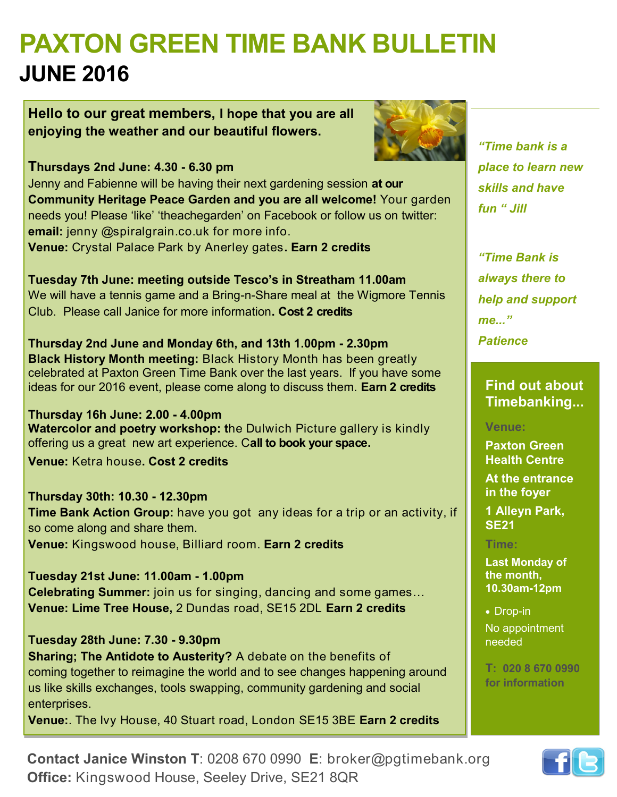# **PAXTON GREEN TIME BANK BULLETIN JUNE 2016**

**Hello to our great members, I hope that you are all enjoying the weather and our beautiful flowers.**



**Thursdays 2nd June: 4.30 - 6.30 pm** Jenny and Fabienne will be having their next gardening session **at our Community Heritage Peace Garden and you are all welcome!** Your garden needs you! Please 'like' 'theachegarden' on Facebook or follow us on twitter: **email:** jenny @spiralgrain.co.uk for more info. **Venue:** Crystal Palace Park by Anerley gates**. Earn 2 credits**

**Tuesday 7th June: meeting outside Tesco's in Streatham 11.00am** We will have a tennis game and a Bring-n-Share meal at the Wigmore Tennis Club.Please call Janice for more information**. Cost 2 credits**

**Thursday 2nd June and Monday 6th, and 13th 1.00pm - 2.30pm Black History Month meeting:** Black History Month has been greatly celebrated at Paxton Green Time Bank over the last years. If you have some ideas for our 2016 event, please come along to discuss them. **Earn 2 credits**

**Thursday 16h June: 2.00 - 4.00pm Watercolor and poetry workshop: t**he Dulwich Picture gallery is kindly offering us a great new art experience. C**all to book your space.**

**Venue:** Ketra house**. Cost 2 credits**

**Thursday 30th: 10.30 - 12.30pm Time Bank Action Group:** have you got any ideas for a trip or an activity, if so come along and share them. **Venue:** Kingswood house, Billiard room. **Earn 2 credits**

**Tuesday 21st June: 11.00am - 1.00pm Celebrating Summer:** join us for singing, dancing and some games… **Venue: Lime Tree House,** 2 Dundas road, SE15 2DL **Earn 2 credits**

**Tuesday 28th June: 7.30 - 9.30pm Sharing; The Antidote to Austerity?** A debate on the benefits of coming together to reimagine the world and to see changes happening around us like skills exchanges, tools swapping, community gardening and social enterprises.

**Venue:**. The Ivy House, 40 Stuart road, London SE15 3BE **Earn 2 credits**

*"Time bank is a place to learn new skills and have fun " Jill*

*"Time Bank is always there to help and support me..." Patience*

**Find out about Timebanking...** 

### **Venue:**

**Paxton Green Health Centre At the entrance in the foyer**

**1 Alleyn Park, SE21**

### **Time:**

**Last Monday of the month, 10.30am-12pm**

• Drop-in No appointment needed

**T: 020 8 670 0990 for information**